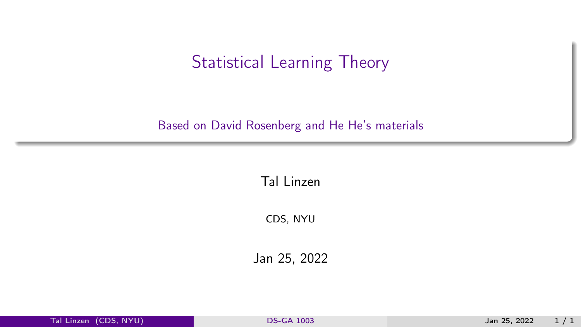## <span id="page-0-0"></span>Statistical Learning Theory

#### Based on David Rosenberg and He He's materials

Tal Linzen

CDS, NYU

Jan 25, 2022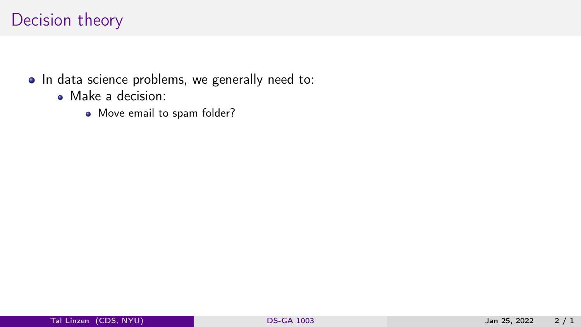- In data science problems, we generally need to:
	- Make a decision:
		- Move email to spam folder?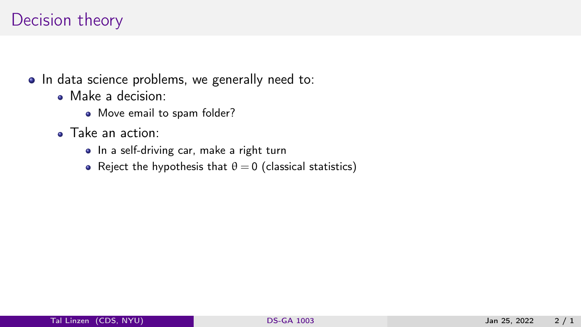- Make a decision:
	- Move email to spam folder?
- Take an action:
	- In a self-driving car, make a right turn
	- Reject the hypothesis that  $\theta = 0$  (classical statistics)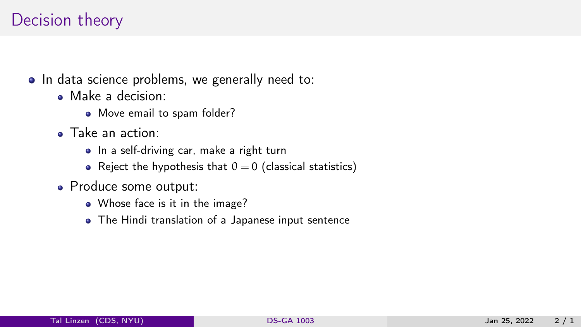- Make a decision:
	- Move email to spam folder?
- Take an action:
	- In a self-driving car, make a right turn
	- Reject the hypothesis that  $\theta = 0$  (classical statistics)
- Produce some output:
	- Whose face is it in the image?
	- The Hindi translation of a Japanese input sentence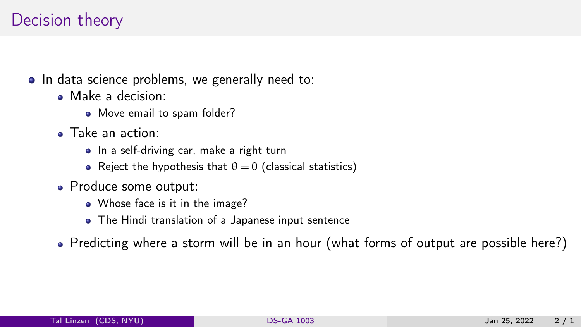- Make a decision:
	- Move email to spam folder?
- Take an action:
	- In a self-driving car, make a right turn
	- Reject the hypothesis that  $\theta = 0$  (classical statistics)
- Produce some output:
	- Whose face is it in the image?
	- The Hindi translation of a Japanese input sentence
- Predicting where a storm will be in an hour (what forms of output are possible here?)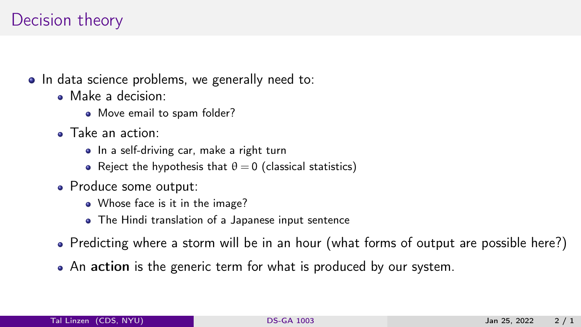- Make a decision:
	- Move email to spam folder?
- Take an action:
	- In a self-driving car, make a right turn
	- Reject the hypothesis that  $\theta = 0$  (classical statistics)
- Produce some output:
	- Whose face is it in the image?
	- The Hindi translation of a Japanese input sentence
- Predicting where a storm will be in an hour (what forms of output are possible here?)
- An action is the generic term for what is produced by our system.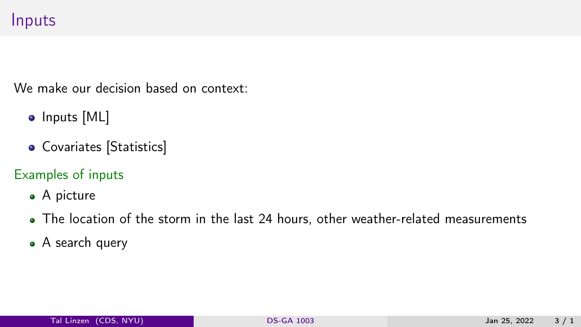## Inputs

We make our decision based on context:

- Inputs [ML]
- Covariates [Statistics]
- Examples of inputs
	- A picture
	- The location of the storm in the last 24 hours, other weather-related measurements
	- A search query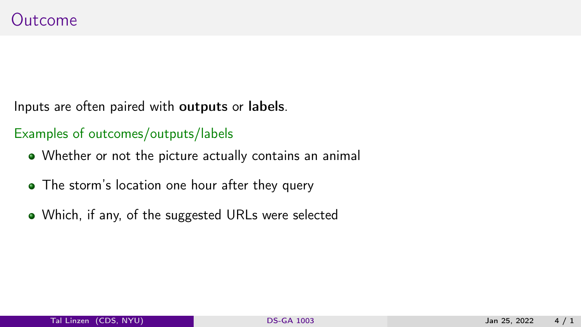Inputs are often paired with outputs or labels.

#### Examples of outcomes/outputs/labels

- Whether or not the picture actually contains an animal
- The storm's location one hour after they query
- Which, if any, of the suggested URLs were selected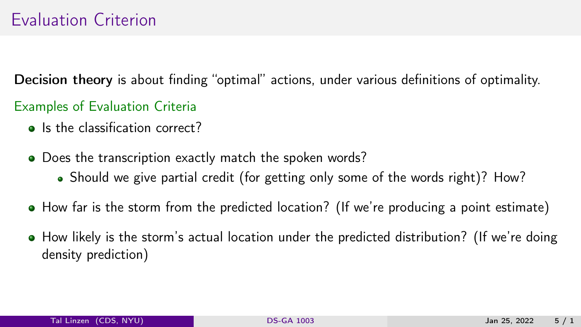Decision theory is about finding "optimal" actions, under various definitions of optimality.

- Examples of Evaluation Criteria
	- **Is the classification correct?**
	- Does the transcription exactly match the spoken words?
		- Should we give partial credit (for getting only some of the words right)? How?
	- How far is the storm from the predicted location? (If we're producing a point estimate)
	- How likely is the storm's actual location under the predicted distribution? (If we're doing density prediction)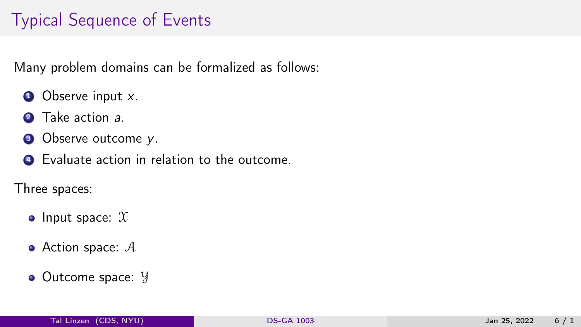# Typical Sequence of Events

Many problem domains can be formalized as follows:

- $\bullet$  Observe input x.
- 2 Take action a.
- **3** Observe outcome y.
- **4** Evaluate action in relation to the outcome.

Three spaces:

- Input space:  $X$
- $\bullet$  Action space:  $\mathcal A$
- Outcome space: y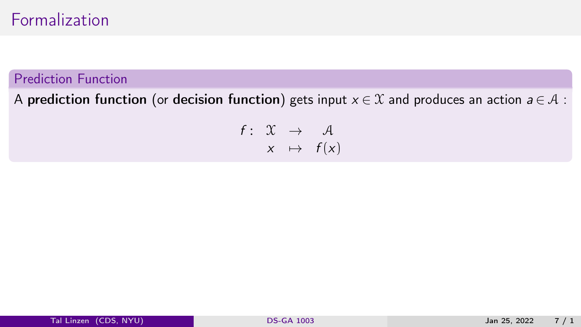## Formalization

#### Prediction Function

A prediction function (or decision function) gets input  $x \in \mathcal{X}$  and produces an action  $a \in \mathcal{A}$ :

$$
\begin{array}{rcl} f: & \mathfrak{X} & \rightarrow & \mathcal{A} \\ & x & \mapsto & f(x) \end{array}
$$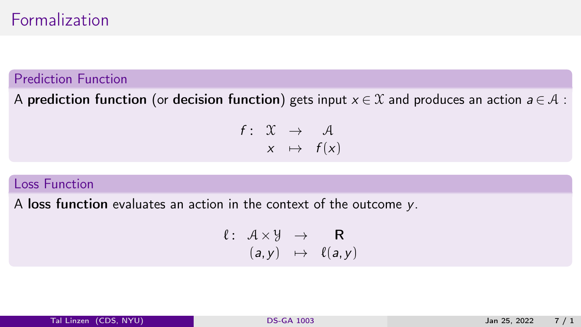### Formalization

#### Prediction Function

A prediction function (or decision function) gets input  $x \in \mathcal{X}$  and produces an action  $a \in \mathcal{A}$ :

 $f: \mathcal{X} \rightarrow \mathcal{A}$  $x \mapsto f(x)$ 

#### Loss Function

A loss function evaluates an action in the context of the outcome y.

$$
\begin{array}{rcl} \ell: & A \times \mathcal{Y} & \to & \mathbf{R} \\ & (a, y) & \mapsto & \ell(a, y) \end{array}
$$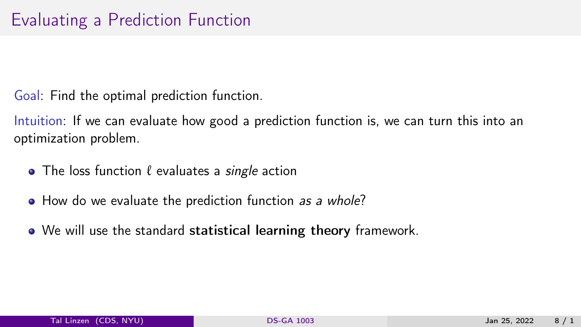Goal: Find the optimal prediction function.

Intuition: If we can evaluate how good a prediction function is, we can turn this into an optimization problem.

- $\bullet$  The loss function  $\ell$  evaluates a *single* action
- How do we evaluate the prediction function as a whole?
- We will use the standard statistical learning theory framework.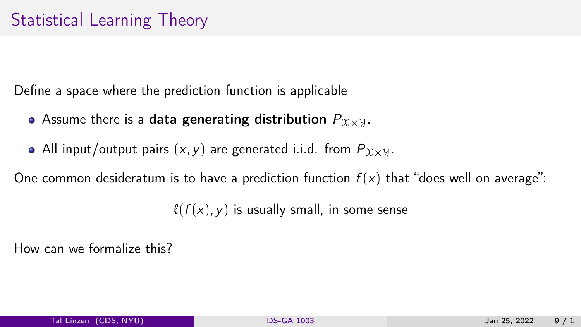Define a space where the prediction function is applicable

- Assume there is a data generating distribution  $P_{\chi}$ <sub>x</sub>y.
- All input/output pairs  $(x, y)$  are generated i.i.d. from  $P_{\mathcal{X}\times\mathcal{Y}}$ .

One common desideratum is to have a prediction function  $f(x)$  that "does well on average":

 $\ell (f (x), y)$  is usually small, in some sense

How can we formalize this?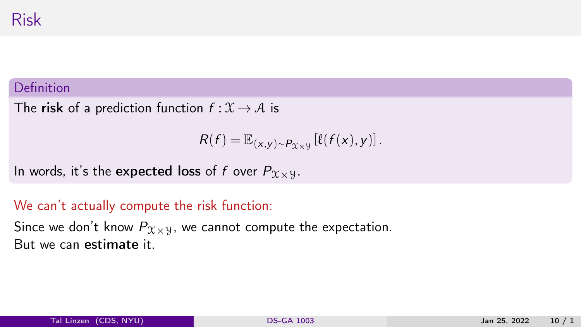#### Definition

The risk of a prediction function  $f: \mathcal{X} \to \mathcal{A}$  is

$$
R(f) = \mathbb{E}_{(x,y)\sim P_{\mathfrak{X}\times \mathfrak{Y}}} [\ell(f(x), y)].
$$

In words, it's the expected loss of f over  $P_{\mathfrak{X}\times \mathfrak{Y}}$ .

#### We can't actually compute the risk function:

Since we don't know  $P_{\mathcal{X}\times\mathcal{Y}}$ , we cannot compute the expectation. But we can estimate it.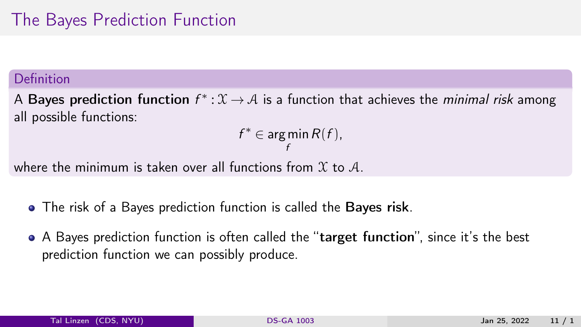# The Bayes Prediction Function

#### Definition

A Bayes prediction function  $f^*:\mathfrak{X}\to\mathcal{A}$  is a function that achieves the *minimal risk* among all possible functions:

> $f^*\in \arg\min$ f  $R(f)$ ,

where the minimum is taken over all functions from  $\mathfrak X$  to  $\mathcal A$ .

- The risk of a Bayes prediction function is called the Bayes risk.
- A Bayes prediction function is often called the "target function", since it's the best prediction function we can possibly produce.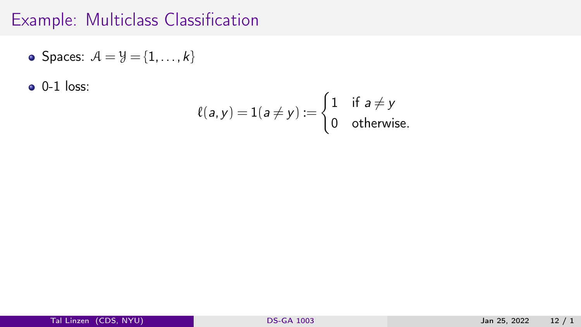## Example: Multiclass Classification

• Spaces: 
$$
A = \mathcal{Y} = \{1, ..., k\}
$$

 $\bullet$  0-1 loss:

$$
\ell(a, y) = 1(a \neq y) := \begin{cases} 1 & \text{if } a \neq y \\ 0 & \text{otherwise.} \end{cases}
$$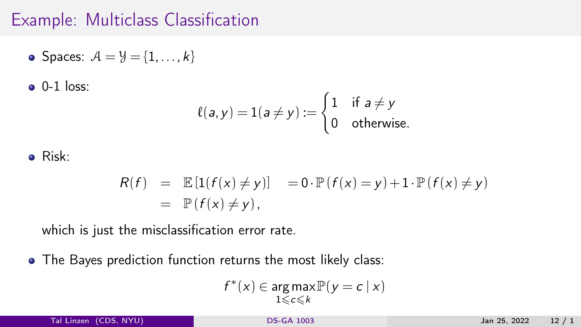## Example: Multiclass Classification

• Spaces: 
$$
A = \mathcal{Y} = \{1, ..., k\}
$$

 $0-1$  loss:

$$
\ell(a, y) = 1(a \neq y) := \begin{cases} 1 & \text{if } a \neq y \\ 0 & \text{otherwise.} \end{cases}
$$

#### Risk:

$$
R(f) = \mathbb{E}[1(f(x) \neq y)] = 0 \cdot \mathbb{P}(f(x) = y) + 1 \cdot \mathbb{P}(f(x) \neq y)
$$
  
=  $\mathbb{P}(f(x) \neq y)$ ,

which is just the misclassification error rate.

• The Bayes prediction function returns the most likely class:

$$
f^*(x) \in \underset{1 \leqslant c \leqslant k}{\arg\max} \mathbb{P}(y = c \mid x)
$$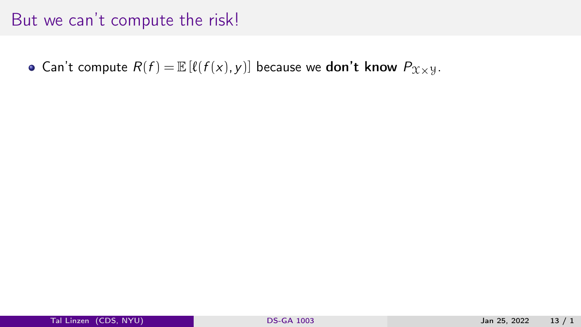• Can't compute  $R(f) = \mathbb{E} [\ell(f(x),y)]$  because we **don't know**  $P_{\mathcal{X} \times \mathcal{Y}}$ .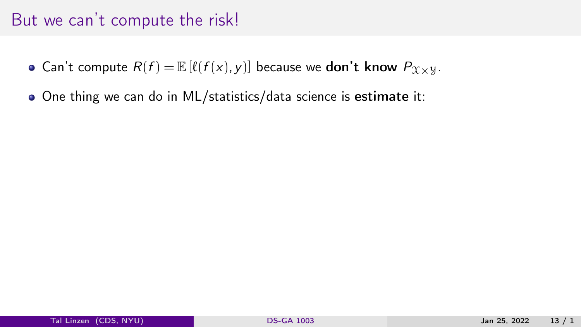- Can't compute  $R(f) = \mathbb{E} [\ell(f(x),y)]$  because we **don't know**  $P_{\mathcal{X}\times\mathcal{Y}}$ .
- One thing we can do in ML/statistics/data science is estimate it: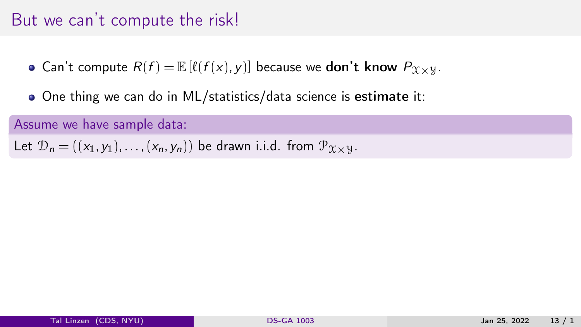• Can't compute  $R(f) = \mathbb{E} [\ell(f(x),y)]$  because we don't know  $P_{\mathfrak{X} \times \mathfrak{Y}}$ .

One thing we can do in ML/statistics/data science is estimate it:

Assume we have sample data:

Let  $\mathcal{D}_n = ((x_1, y_1), \ldots, (x_n, y_n))$  be drawn i.i.d. from  $\mathcal{P}_{\mathcal{X} \times \mathcal{Y}}$ .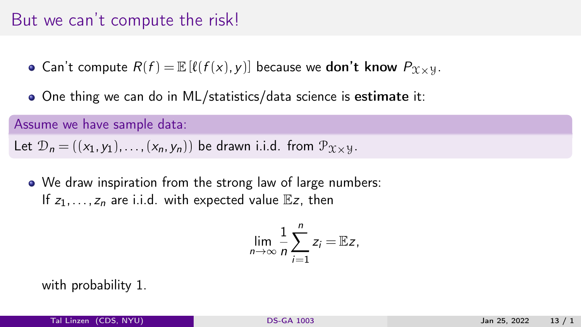• Can't compute  $R(f) = \mathbb{E} [\ell(f(x),y)]$  because we don't know  $P_{\mathfrak{X} \times \mathfrak{Y}}$ .

One thing we can do in ML/statistics/data science is estimate it:

Assume we have sample data:

Let  $\mathcal{D}_n = ((x_1, y_1), \ldots, (x_n, y_n))$  be drawn i.i.d. from  $\mathcal{P}_{\mathcal{X} \times \mathcal{Y}}$ .

• We draw inspiration from the strong law of large numbers: If  $z_1, \ldots, z_n$  are i.i.d. with expected value  $\mathbb{E}z$ , then

$$
\lim_{n\to\infty}\frac{1}{n}\sum_{i=1}^nz_i=\mathbb{E}z,
$$

with probability 1.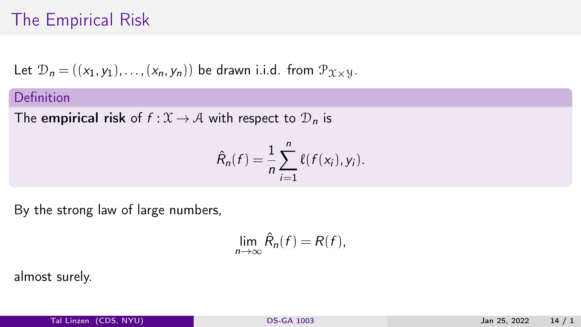## The Empirical Risk

Let  $\mathcal{D}_n = ((x_1, y_1), \ldots, (x_n, y_n))$  be drawn i.i.d. from  $\mathcal{P}_{\mathcal{X} \times \mathcal{Y}}$ .

#### Definition

The empirical risk of  $f: \mathcal{X} \to \mathcal{A}$  with respect to  $\mathcal{D}_n$  is

$$
\hat{R}_n(f) = \frac{1}{n} \sum_{i=1}^n \ell(f(x_i), y_i).
$$

By the strong law of large numbers,

$$
\lim_{n\to\infty}\hat{R}_n(f)=R(f),
$$

almost surely.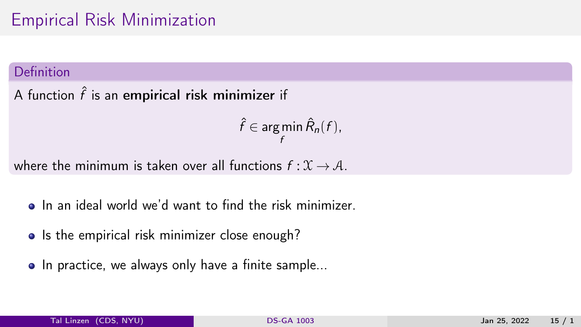#### Definition

A function  $\hat{f}$  is an empirical risk minimizer if

$$
\hat{f} \in \argmin_{f} \hat{R}_n(f),
$$

where the minimum is taken over all functions  $f: \mathcal{X} \to \mathcal{A}$ .

- In an ideal world we'd want to find the risk minimizer.
- Is the empirical risk minimizer close enough?
- In practice, we always only have a finite sample...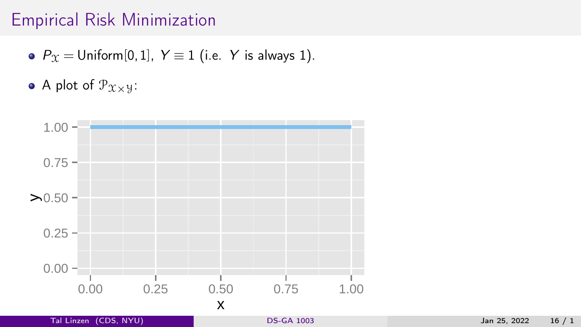- $P_{\mathcal{X}} =$  Uniform[0, 1],  $Y \equiv 1$  (i.e. Y is always 1).
- A plot of  $P_{x \times y}$ :

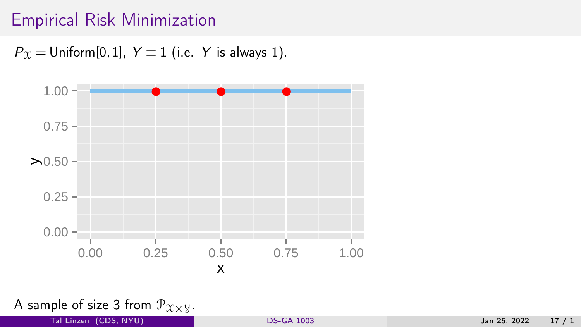$P_{\Upsilon}$  = Uniform[0,1],  $Y \equiv 1$  (i.e. Y is always 1).



A sample of size 3 from  $\mathcal{P}_{\mathcal{X}\times\mathcal{Y}}$ .

Tal Linzen (CDS, NYU) [DS-GA 1003](#page-0-0) Jan 25, 2022 17 / 1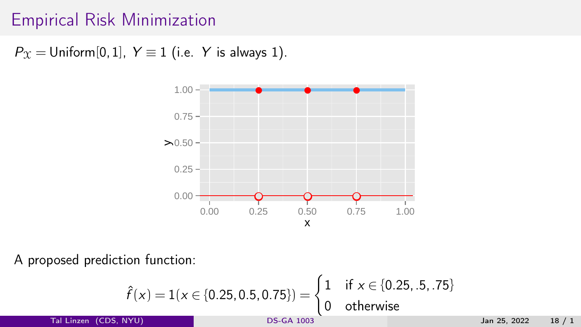$P_{\Upsilon}$  = Uniform[0,1],  $Y \equiv 1$  (i.e. Y is always 1).



A proposed prediction function:

$$
\hat{f}(x) = 1(x \in \{0.25, 0.5, 0.75\}) = \begin{cases} 1 & \text{if } x \in \{0.25, .5, .75\} \\ 0 & \text{otherwise} \end{cases}
$$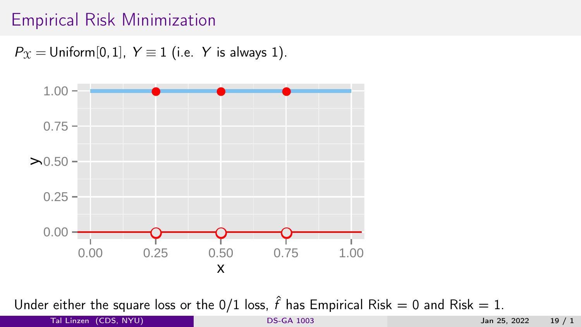$P_{\Upsilon}$  = Uniform[0,1],  $Y \equiv 1$  (i.e. Y is always 1).



Under either the square loss or the 0/1 loss,  $\hat{f}$  has Empirical Risk = 0 and Risk = 1.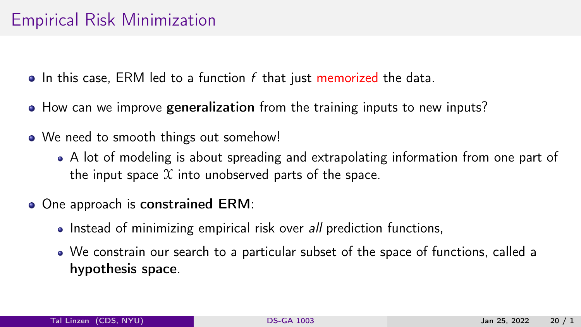- $\bullet$  In this case, ERM led to a function f that just memorized the data.
- How can we improve generalization from the training inputs to new inputs?
- We need to smooth things out somehow!
	- A lot of modeling is about spreading and extrapolating information from one part of the input space  $X$  into unobserved parts of the space.
- One approach is constrained ERM:
	- Instead of minimizing empirical risk over all prediction functions,
	- We constrain our search to a particular subset of the space of functions, called a hypothesis space.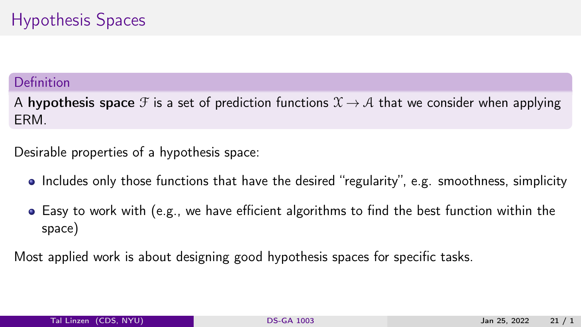#### Definition

A hypothesis space F is a set of prediction functions  $\mathcal{X} \to \mathcal{A}$  that we consider when applying ERM.

Desirable properties of a hypothesis space:

- Includes only those functions that have the desired "regularity", e.g. smoothness, simplicity
- Easy to work with (e.g., we have efficient algorithms to find the best function within the space)

Most applied work is about designing good hypothesis spaces for specific tasks.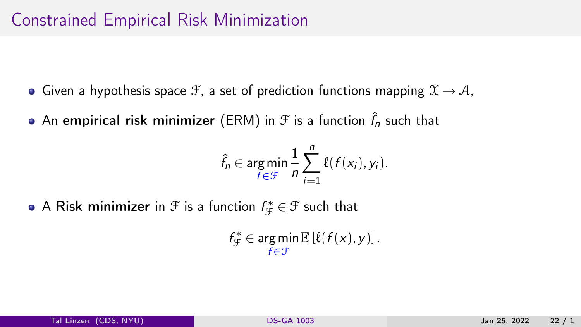## Constrained Empirical Risk Minimization

- Given a hypothesis space F, a set of prediction functions mapping  $\mathfrak{X} \rightarrow \mathcal{A}$ ,
- An <mark>empirical risk minimizer</mark> (ERM) in  ${\mathcal F}$  is a function  $\hat{f}_n$  such that

$$
\hat{f}_n \in \operatorname*{arg\,min}_{f \in \mathcal{F}} \frac{1}{n} \sum_{i=1}^n \ell(f(x_i), y_i).
$$

A <mark>Risk minimizer</mark> in  $\mathcal F$  is a function  $f_{\mathcal F}^*\in\mathcal F$  such that

$$
f_{\mathcal{F}}^* \in \operatorname*{arg\,min}_{f \in \mathcal{F}} \mathbb{E}\left[\ell(f(x), y)\right].
$$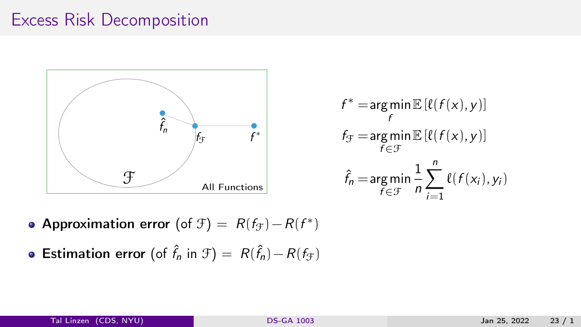## Excess Risk Decomposition



$$
f^* = \underset{f}{\arg\min} \mathbb{E} \left[ \ell(f(x), y) \right]
$$
  

$$
f_{\mathcal{F}} = \underset{f \in \mathcal{F}}{\arg\min} \mathbb{E} \left[ \ell(f(x), y) \right]
$$
  

$$
\hat{f}_n = \underset{f \in \mathcal{F}}{\arg\min} \frac{1}{n} \sum_{i=1}^n \ell(f(x_i), y_i)
$$

- Approximation error (of  $f(x) = R(f_x) R(f^*)$
- **Estimation error** (of  $\hat{f}_n$  in  $\mathcal{F}$ ) =  $R(\hat{f}_n) R(f_{\mathcal{F}})$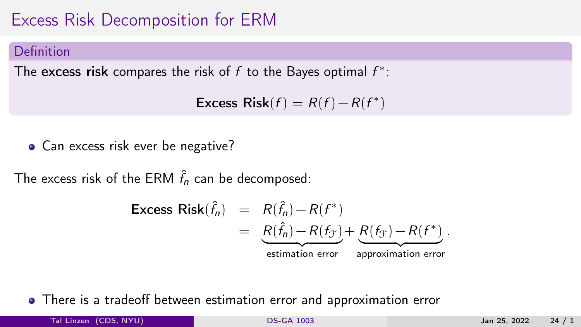# Excess Risk Decomposition for ERM

#### Definition

The excess risk compares the risk of  $f$  to the Bayes optimal  $f^*$ :

Excess  $Risk(f) = R(f) - R(f^*)$ 

• Can excess risk ever be negative?

The excess risk of the ERM  $\hat{f}_n$  can be decomposed:

$$
\begin{array}{rcl}\n\textbf{Excess Risk}(\hat{f}_n) & = & R(\hat{f}_n) - R(f^*) \\
& = & \underbrace{R(\hat{f}_n) - R(f_{\mathcal{F}})}_{\text{estimation error}} + \underbrace{R(f_{\mathcal{F}}) - R(f^*)}_{\text{approximation error}}.\n\end{array}
$$

There is a tradeoff between estimation error and approximation error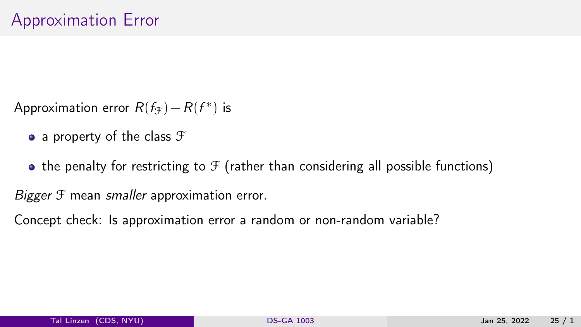- Approximation error  $R(f_{\mathcal{F}}) R(f^*)$  is
	- a property of the class  $\mathcal F$
	- $\bullet$  the penalty for restricting to  $\mathcal F$  (rather than considering all possible functions)

Bigger  $\mathfrak F$  mean smaller approximation error.

Concept check: Is approximation error a random or non-random variable?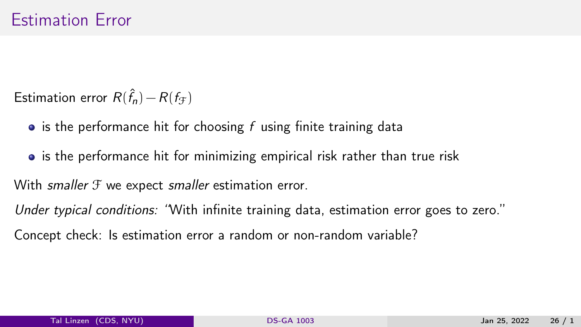Estimation error  $R(\hat{f}_n) - R(f_{\mathcal{F}})$ 

- $\bullet$  is the performance hit for choosing f using finite training data
- is the performance hit for minimizing empirical risk rather than true risk

With smaller  $\mathcal F$  we expect smaller estimation error.

Under typical conditions: 'With infinite training data, estimation error goes to zero."

Concept check: Is estimation error a random or non-random variable?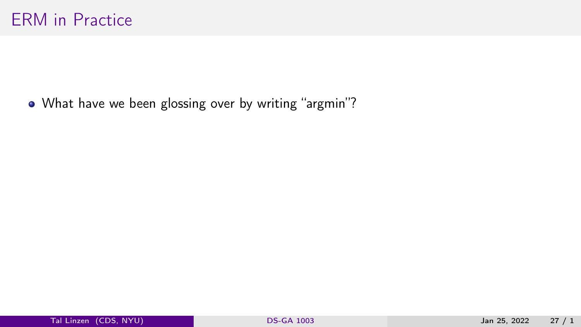• What have we been glossing over by writing "argmin"?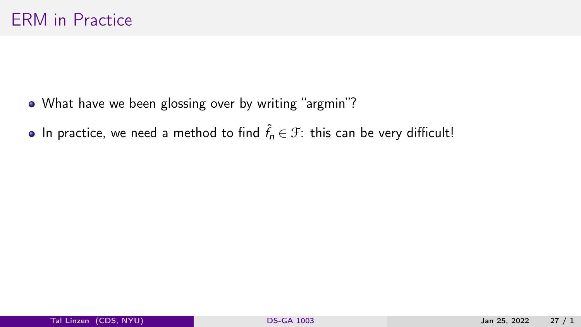- What have we been glossing over by writing "argmin"?
- In practice, we need a method to find  $\hat{f}_n \in \mathcal{F}$ : this can be very difficult!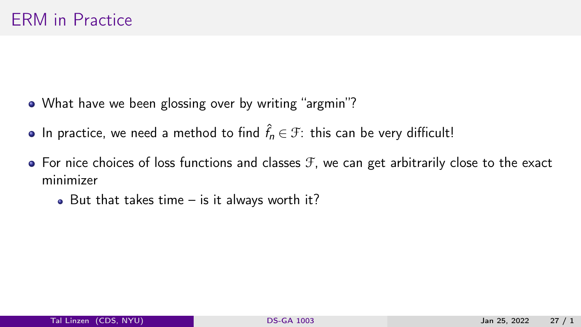- What have we been glossing over by writing "argmin"?
- In practice, we need a method to find  $\hat{f}_n \in \mathcal{F}$ : this can be very difficult!
- $\bullet$  For nice choices of loss functions and classes  $\mathcal F$ , we can get arbitrarily close to the exact minimizer
	- $\bullet$  But that takes time is it always worth it?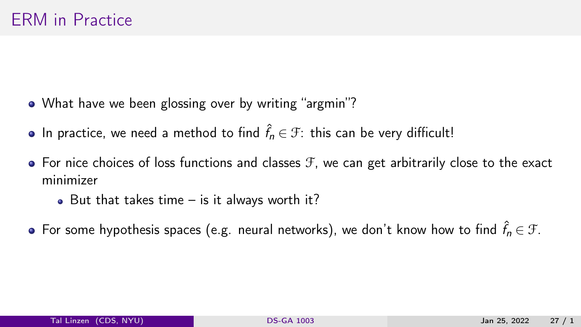- What have we been glossing over by writing "argmin"?
- In practice, we need a method to find  $\hat{f}_n \in \mathcal{F}$ : this can be very difficult!
- $\bullet$  For nice choices of loss functions and classes  $\mathcal F$ , we can get arbitrarily close to the exact minimizer
	- $\bullet$  But that takes time is it always worth it?
- For some hypothesis spaces (e.g. neural networks), we don't know how to find  $\hat{f}_{n} \in \mathcal{F}$ .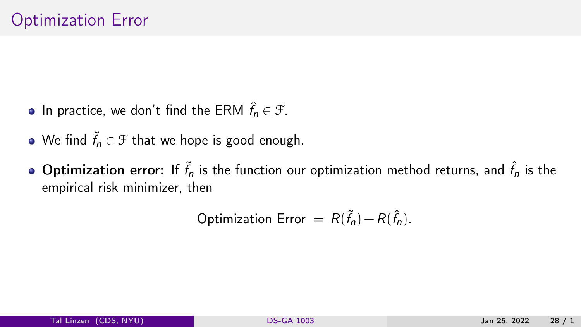- In practice, we don't find the ERM  $\hat{f}_n \in \mathcal{F}$ .
- We find  $\tilde{f}_n \in \mathcal{F}$  that we hope is good enough.
- **Optimization error**: If  $\tilde{f}_n$  is the function our optimization method returns, and  $\hat{f}_n$  is the empirical risk minimizer, then

Optimization Error  $= R(\tilde{f}_n) - R(\hat{f}_n)$ .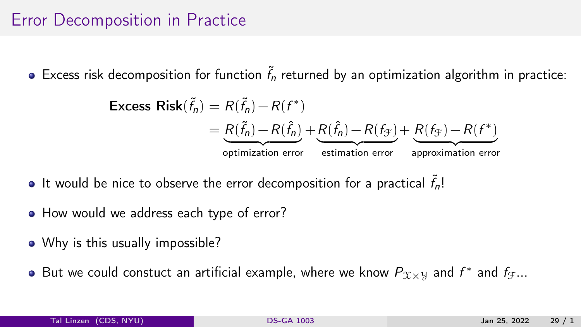## Error Decomposition in Practice

Excess risk decomposition for function  $\tilde{f}_n$  returned by an optimization algorithm in practice:

$$
\begin{aligned} \text{Excess Risk}(\tilde{f}_n) &= R(\tilde{f}_n) - R(f^*) \\ &= \underbrace{R(\tilde{f}_n) - R(\hat{f}_n)}_{\text{optimization error}} + \underbrace{R(\hat{f}_n) - R(f_{\mathcal{F}})}_{\text{estimation error}} + \underbrace{R(f_{\mathcal{F}}) - R(f^*)}_{\text{approximation error}} \end{aligned}
$$

- It would be nice to observe the error decomposition for a practical  $\tilde{f}_n!$
- How would we address each type of error?
- Why is this usually impossible?
- But we could constuct an artificial example, where we know  $P_{\mathfrak{X}\times \mathcal{Y}}$  and  $f^*$  and  $f_{\mathcal{F}}...$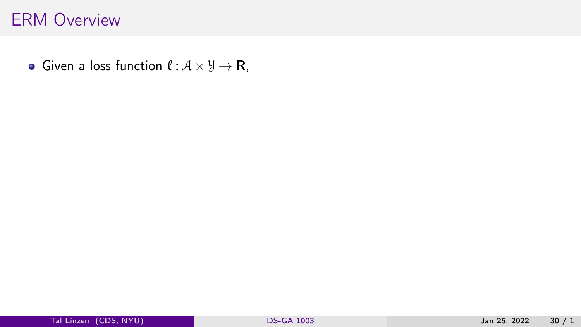• Given a loss function  $\ell : \mathcal{A} \times \mathcal{Y} \rightarrow \mathbb{R}$ ,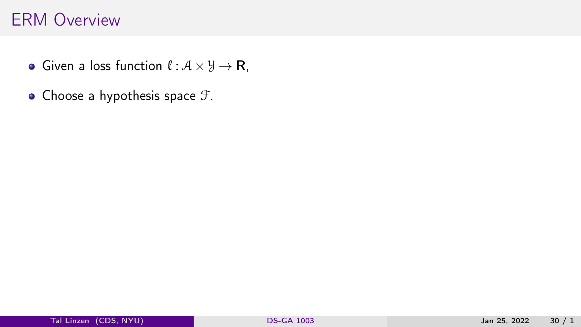- Given a loss function  $\ell : \mathcal{A} \times \mathcal{Y} \rightarrow \mathbb{R}$ ,
- $\bullet$  Choose a hypothesis space  $\mathcal{F}$ .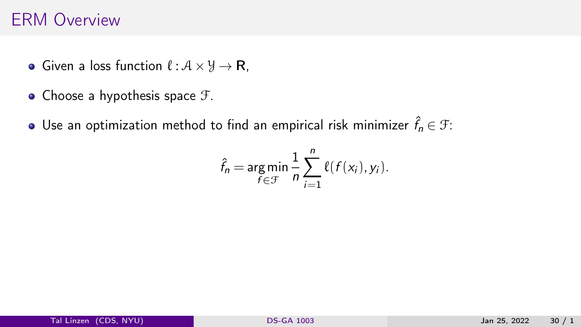- Given a loss function  $\ell : \mathcal{A} \times \mathcal{Y} \rightarrow \mathbb{R}$ ,
- $\bullet$  Choose a hypothesis space  $\mathcal{F}$ .
- Use an optimization method to find an empirical risk minimizer  $\hat{f}_n \in \mathfrak{F}$ :

$$
\hat{f}_n = \underset{f \in \mathcal{F}}{\arg \min} \frac{1}{n} \sum_{i=1}^n \ell(f(x_i), y_i).
$$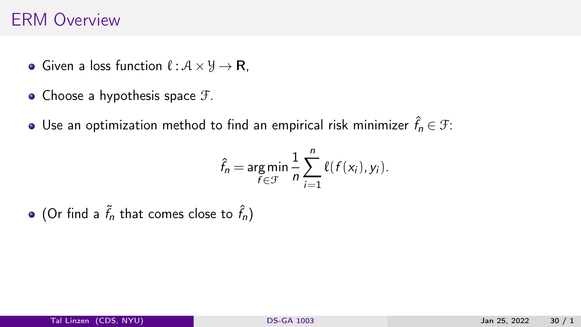- Given a loss function  $\ell : \mathcal{A} \times \mathcal{Y} \rightarrow \mathbb{R}$ ,
- Choose a hypothesis space  $\mathcal{F}$ .
- Use an optimization method to find an empirical risk minimizer  $\hat{f}_n \in \mathfrak{F}$ :

$$
\hat{f}_n = \underset{f \in \mathcal{F}}{\arg \min} \frac{1}{n} \sum_{i=1}^n \ell(f(x_i), y_i).
$$

(Or find a  $\tilde{f}_n$  that comes close to  $\hat{f}_n$ )